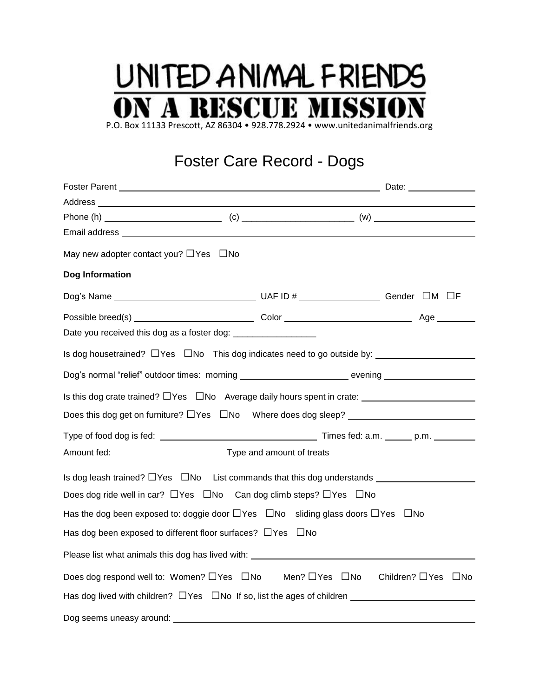## UNITED ANIMAL FRIENDS **N A RESCUE MISSIO**

P.O. Box 11133 Prescott, AZ 86304 • 928.778.2924 • www.unitedanimalfriends.org

## Foster Care Record - Dogs

| Address experiences and a series of the contract of the contract of the contract of the contract of the contract of the contract of the contract of the contract of the contract of the contract of the contract of the contra |  |  |
|--------------------------------------------------------------------------------------------------------------------------------------------------------------------------------------------------------------------------------|--|--|
|                                                                                                                                                                                                                                |  |  |
|                                                                                                                                                                                                                                |  |  |
| May new adopter contact you? $\Box$ Yes $\Box$ No                                                                                                                                                                              |  |  |
| Dog Information                                                                                                                                                                                                                |  |  |
|                                                                                                                                                                                                                                |  |  |
|                                                                                                                                                                                                                                |  |  |
| Date you received this dog as a foster dog: ____________________                                                                                                                                                               |  |  |
|                                                                                                                                                                                                                                |  |  |
| Dog's normal "relief" outdoor times: morning ___________________________ evening __________________                                                                                                                            |  |  |
|                                                                                                                                                                                                                                |  |  |
| Does this dog get on furniture? $\Box$ Yes $\Box$ No Where does dog sleep? _____________________________                                                                                                                       |  |  |
|                                                                                                                                                                                                                                |  |  |
|                                                                                                                                                                                                                                |  |  |
| Is dog leash trained? $\Box$ Yes $\Box$ No List commands that this dog understands                                                                                                                                             |  |  |
| Does dog ride well in car? $\Box$ Yes $\Box$ No Can dog climb steps? $\Box$ Yes $\Box$ No                                                                                                                                      |  |  |
| Has the dog been exposed to: doggie door $\Box$ Yes $\Box$ No sliding glass doors $\Box$ Yes $\Box$ No                                                                                                                         |  |  |
| Has dog been exposed to different floor surfaces? $\Box$ Yes $\Box$ No                                                                                                                                                         |  |  |
|                                                                                                                                                                                                                                |  |  |
| Does dog respond well to: Women? □Yes □No Men? □Yes □No Children? □Yes □No                                                                                                                                                     |  |  |
| Has dog lived with children? $\Box$ Yes $\Box$ No If so, list the ages of children $\Box$                                                                                                                                      |  |  |
| Dog seems uneasy around:                                                                                                                                                                                                       |  |  |